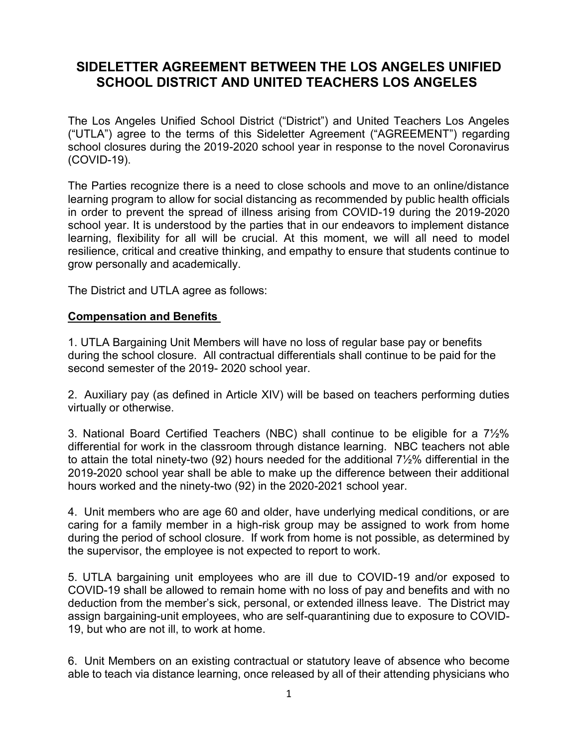# **SIDELETTER AGREEMENT BETWEEN THE LOS ANGELES UNIFIED SCHOOL DISTRICT AND UNITED TEACHERS LOS ANGELES**

The Los Angeles Unified School District ("District") and United Teachers Los Angeles ("UTLA") agree to the terms of this Sideletter Agreement ("AGREEMENT") regarding school closures during the 2019-2020 school year in response to the novel Coronavirus (COVID-19).

The Parties recognize there is a need to close schools and move to an online/distance learning program to allow for social distancing as recommended by public health officials in order to prevent the spread of illness arising from COVID-19 during the 2019-2020 school year. It is understood by the parties that in our endeavors to implement distance learning, flexibility for all will be crucial. At this moment, we will all need to model resilience, critical and creative thinking, and empathy to ensure that students continue to grow personally and academically.

The District and UTLA agree as follows:

#### **Compensation and Benefits**

1. UTLA Bargaining Unit Members will have no loss of regular base pay or benefits during the school closure. All contractual differentials shall continue to be paid for the second semester of the 2019- 2020 school year.

2. Auxiliary pay (as defined in Article XIV) will be based on teachers performing duties virtually or otherwise.

3. National Board Certified Teachers (NBC) shall continue to be eligible for a 7½% differential for work in the classroom through distance learning. NBC teachers not able to attain the total ninety-two (92) hours needed for the additional 7½% differential in the 2019-2020 school year shall be able to make up the difference between their additional hours worked and the ninety-two (92) in the 2020-2021 school year.

4. Unit members who are age 60 and older, have underlying medical conditions, or are caring for a family member in a high-risk group may be assigned to work from home during the period of school closure. If work from home is not possible, as determined by the supervisor, the employee is not expected to report to work.

5. UTLA bargaining unit employees who are ill due to COVID-19 and/or exposed to COVID-19 shall be allowed to remain home with no loss of pay and benefits and with no deduction from the member's sick, personal, or extended illness leave. The District may assign bargaining-unit employees, who are self-quarantining due to exposure to COVID-19, but who are not ill, to work at home.

6. Unit Members on an existing contractual or statutory leave of absence who become able to teach via distance learning, once released by all of their attending physicians who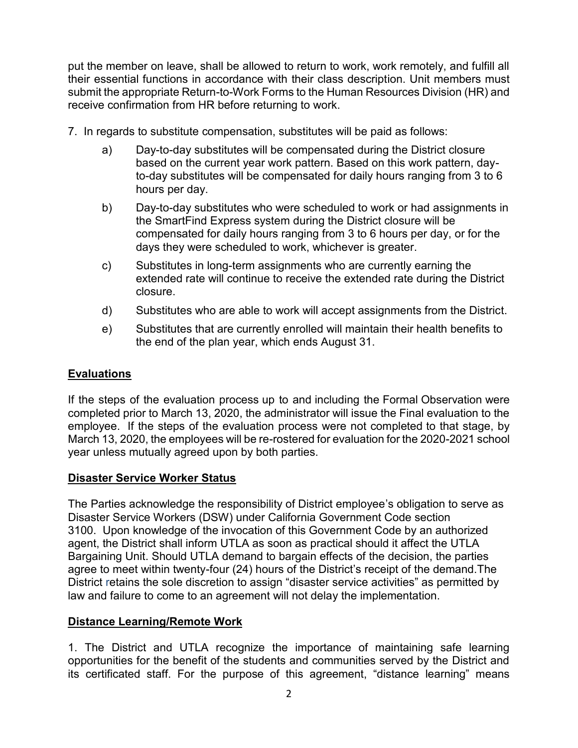put the member on leave, shall be allowed to return to work, work remotely, and fulfill all their essential functions in accordance with their class description. Unit members must submit the appropriate Return-to-Work Forms to the Human Resources Division (HR) and receive confirmation from HR before returning to work.

- 7. In regards to substitute compensation, substitutes will be paid as follows:
	- a) Day-to-day substitutes will be compensated during the District closure based on the current year work pattern. Based on this work pattern, dayto-day substitutes will be compensated for daily hours ranging from 3 to 6 hours per day.
	- b) Day-to-day substitutes who were scheduled to work or had assignments in the SmartFind Express system during the District closure will be compensated for daily hours ranging from 3 to 6 hours per day, or for the days they were scheduled to work, whichever is greater.
	- c) Substitutes in long-term assignments who are currently earning the extended rate will continue to receive the extended rate during the District closure.
	- d) Substitutes who are able to work will accept assignments from the District.
	- e) Substitutes that are currently enrolled will maintain their health benefits to the end of the plan year, which ends August 31.

## **Evaluations**

If the steps of the evaluation process up to and including the Formal Observation were completed prior to March 13, 2020, the administrator will issue the Final evaluation to the employee. If the steps of the evaluation process were not completed to that stage, by March 13, 2020, the employees will be re-rostered for evaluation for the 2020-2021 school year unless mutually agreed upon by both parties.

### **Disaster Service Worker Status**

The Parties acknowledge the responsibility of District employee's obligation to serve as Disaster Service Workers (DSW) under California Government Code section 3100. Upon knowledge of the invocation of this Government Code by an authorized agent, the District shall inform UTLA as soon as practical should it affect the UTLA Bargaining Unit. Should UTLA demand to bargain effects of the decision, the parties agree to meet within twenty-four (24) hours of the District's receipt of the demand.The District retains the sole discretion to assign "disaster service activities" as permitted by law and failure to come to an agreement will not delay the implementation.

### **Distance Learning/Remote Work**

1. The District and UTLA recognize the importance of maintaining safe learning opportunities for the benefit of the students and communities served by the District and its certificated staff. For the purpose of this agreement, "distance learning" means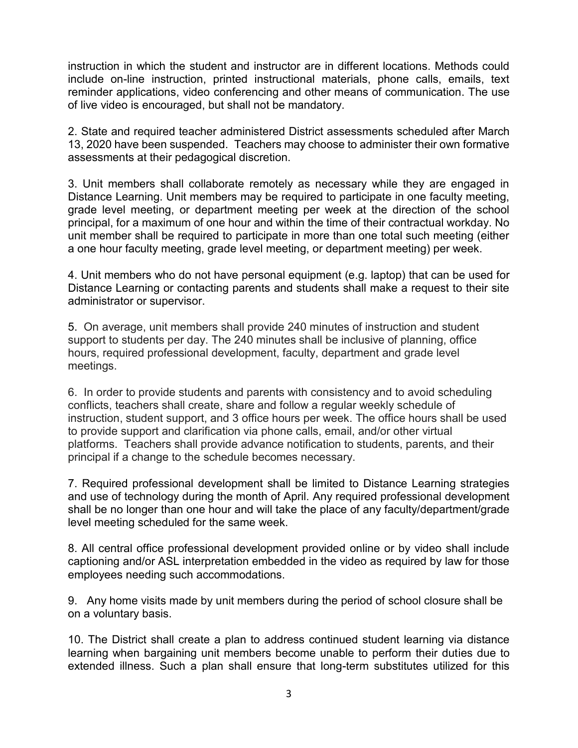instruction in which the student and instructor are in different locations. Methods could include on-line instruction, printed instructional materials, phone calls, emails, text reminder applications, video conferencing and other means of communication. The use of live video is encouraged, but shall not be mandatory.

2. State and required teacher administered District assessments scheduled after March 13, 2020 have been suspended. Teachers may choose to administer their own formative assessments at their pedagogical discretion.

3. Unit members shall collaborate remotely as necessary while they are engaged in Distance Learning. Unit members may be required to participate in one faculty meeting, grade level meeting, or department meeting per week at the direction of the school principal, for a maximum of one hour and within the time of their contractual workday. No unit member shall be required to participate in more than one total such meeting (either a one hour faculty meeting, grade level meeting, or department meeting) per week.

4. Unit members who do not have personal equipment (e.g. laptop) that can be used for Distance Learning or contacting parents and students shall make a request to their site administrator or supervisor.

5. On average, unit members shall provide 240 minutes of instruction and student support to students per day. The 240 minutes shall be inclusive of planning, office hours, required professional development, faculty, department and grade level meetings.

6. In order to provide students and parents with consistency and to avoid scheduling conflicts, teachers shall create, share and follow a regular weekly schedule of instruction, student support, and 3 office hours per week. The office hours shall be used to provide support and clarification via phone calls, email, and/or other virtual platforms. Teachers shall provide advance notification to students, parents, and their principal if a change to the schedule becomes necessary.

7. Required professional development shall be limited to Distance Learning strategies and use of technology during the month of April. Any required professional development shall be no longer than one hour and will take the place of any faculty/department/grade level meeting scheduled for the same week.

8. All central office professional development provided online or by video shall include captioning and/or ASL interpretation embedded in the video as required by law for those employees needing such accommodations.

9. Any home visits made by unit members during the period of school closure shall be on a voluntary basis.

10. The District shall create a plan to address continued student learning via distance learning when bargaining unit members become unable to perform their duties due to extended illness. Such a plan shall ensure that long-term substitutes utilized for this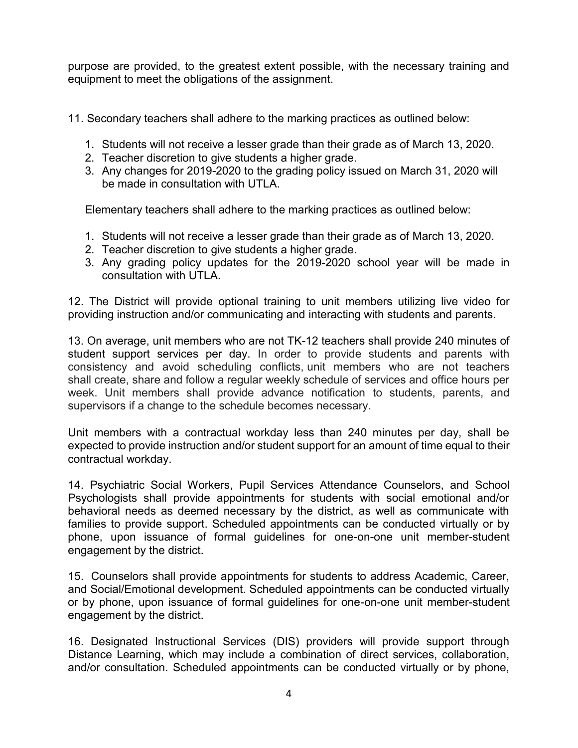purpose are provided, to the greatest extent possible, with the necessary training and equipment to meet the obligations of the assignment.

11. Secondary teachers shall adhere to the marking practices as outlined below:

- 1. Students will not receive a lesser grade than their grade as of March 13, 2020.
- 2. Teacher discretion to give students a higher grade.
- 3. Any changes for 2019-2020 to the grading policy issued on March 31, 2020 will be made in consultation with UTLA.

Elementary teachers shall adhere to the marking practices as outlined below:

- 1. Students will not receive a lesser grade than their grade as of March 13, 2020.
- 2. Teacher discretion to give students a higher grade.
- 3. Any grading policy updates for the 2019-2020 school year will be made in consultation with UTLA.

12. The District will provide optional training to unit members utilizing live video for providing instruction and/or communicating and interacting with students and parents.

13. On average, unit members who are not TK-12 teachers shall provide 240 minutes of student support services per day. In order to provide students and parents with consistency and avoid scheduling conflicts, unit members who are not teachers shall create, share and follow a regular weekly schedule of services and office hours per week. Unit members shall provide advance notification to students, parents, and supervisors if a change to the schedule becomes necessary.

Unit members with a contractual workday less than 240 minutes per day, shall be expected to provide instruction and/or student support for an amount of time equal to their contractual workday.

14. Psychiatric Social Workers, Pupil Services Attendance Counselors, and School Psychologists shall provide appointments for students with social emotional and/or behavioral needs as deemed necessary by the district, as well as communicate with families to provide support. Scheduled appointments can be conducted virtually or by phone, upon issuance of formal guidelines for one-on-one unit member-student engagement by the district.

15. Counselors shall provide appointments for students to address Academic, Career, and Social/Emotional development. Scheduled appointments can be conducted virtually or by phone, upon issuance of formal guidelines for one-on-one unit member-student engagement by the district.

16. Designated Instructional Services (DIS) providers will provide support through Distance Learning, which may include a combination of direct services, collaboration, and/or consultation. Scheduled appointments can be conducted virtually or by phone,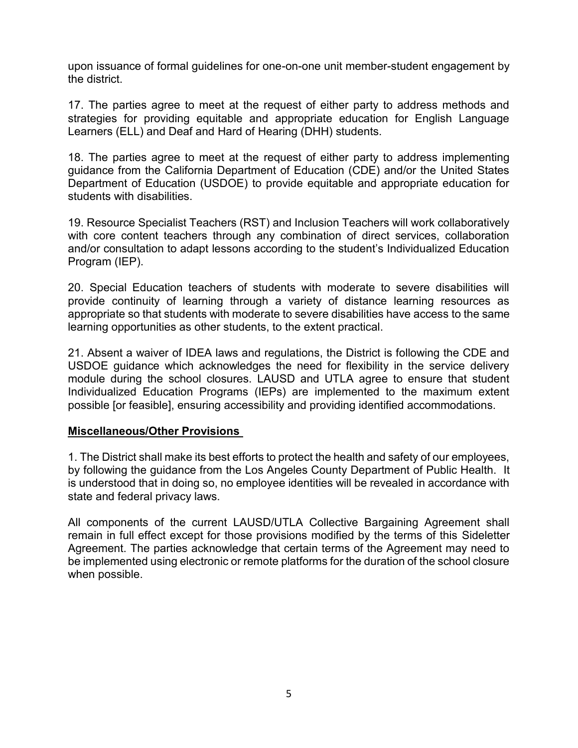upon issuance of formal guidelines for one-on-one unit member-student engagement by the district.

17. The parties agree to meet at the request of either party to address methods and strategies for providing equitable and appropriate education for English Language Learners (ELL) and Deaf and Hard of Hearing (DHH) students.

18. The parties agree to meet at the request of either party to address implementing guidance from the California Department of Education (CDE) and/or the United States Department of Education (USDOE) to provide equitable and appropriate education for students with disabilities.

19. Resource Specialist Teachers (RST) and Inclusion Teachers will work collaboratively with core content teachers through any combination of direct services, collaboration and/or consultation to adapt lessons according to the student's Individualized Education Program (IEP).

20. Special Education teachers of students with moderate to severe disabilities will provide continuity of learning through a variety of distance learning resources as appropriate so that students with moderate to severe disabilities have access to the same learning opportunities as other students, to the extent practical.

21. Absent a waiver of IDEA laws and regulations, the District is following the CDE and USDOE guidance which acknowledges the need for flexibility in the service delivery module during the school closures. LAUSD and UTLA agree to ensure that student Individualized Education Programs (IEPs) are implemented to the maximum extent possible [or feasible], ensuring accessibility and providing identified accommodations.

#### **Miscellaneous/Other Provisions**

1. The District shall make its best efforts to protect the health and safety of our employees, by following the guidance from the Los Angeles County Department of Public Health. It is understood that in doing so, no employee identities will be revealed in accordance with state and federal privacy laws.

All components of the current LAUSD/UTLA Collective Bargaining Agreement shall remain in full effect except for those provisions modified by the terms of this Sideletter Agreement. The parties acknowledge that certain terms of the Agreement may need to be implemented using electronic or remote platforms for the duration of the school closure when possible.